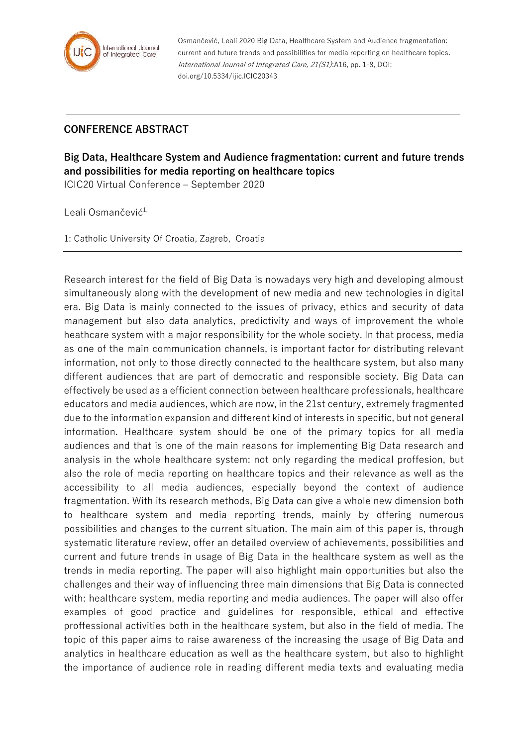

Osmančević, Leali 2020 Big Data, Healthcare System and Audience fragmentation: current and future trends and possibilities for media reporting on healthcare topics. International Journal of Integrated Care, 21(S1):A16, pp. 1-8, DOI: doi.org/10.5334/ijic.ICIC20343

## **CONFERENCE ABSTRACT**

**Big Data, Healthcare System and Audience fragmentation: current and future trends and possibilities for media reporting on healthcare topics**

ICIC20 Virtual Conference – September 2020

Leali Osmančević<sup>1,</sup>

1: Catholic University Of Croatia, Zagreb, Croatia

Research interest for the field of Big Data is nowadays very high and developing almoust simultaneously along with the development of new media and new technologies in digital era. Big Data is mainly connected to the issues of privacy, ethics and security of data management but also data analytics, predictivity and ways of improvement the whole heathcare system with a major responsibility for the whole society. In that process, media as one of the main communication channels, is important factor for distributing relevant information, not only to those directly connected to the healthcare system, but also many different audiences that are part of democratic and responsible society. Big Data can effectively be used as a efficient connection between healthcare professionals, healthcare educators and media audiences, which are now, in the 21st century, extremely fragmented due to the information expansion and different kind of interests in specific, but not general information. Healthcare system should be one of the primary topics for all media audiences and that is one of the main reasons for implementing Big Data research and analysis in the whole healthcare system: not only regarding the medical proffesion, but also the role of media reporting on healthcare topics and their relevance as well as the accessibility to all media audiences, especially beyond the context of audience fragmentation. With its research methods, Big Data can give a whole new dimension both to healthcare system and media reporting trends, mainly by offering numerous possibilities and changes to the current situation. The main aim of this paper is, through systematic literature review, offer an detailed overview of achievements, possibilities and current and future trends in usage of Big Data in the healthcare system as well as the trends in media reporting. The paper will also highlight main opportunities but also the challenges and their way of influencing three main dimensions that Big Data is connected with: healthcare system, media reporting and media audiences. The paper will also offer examples of good practice and guidelines for responsible, ethical and effective proffessional activities both in the healthcare system, but also in the field of media. The topic of this paper aims to raise awareness of the increasing the usage of Big Data and analytics in healthcare education as well as the healthcare system, but also to highlight the importance of audience role in reading different media texts and evaluating media